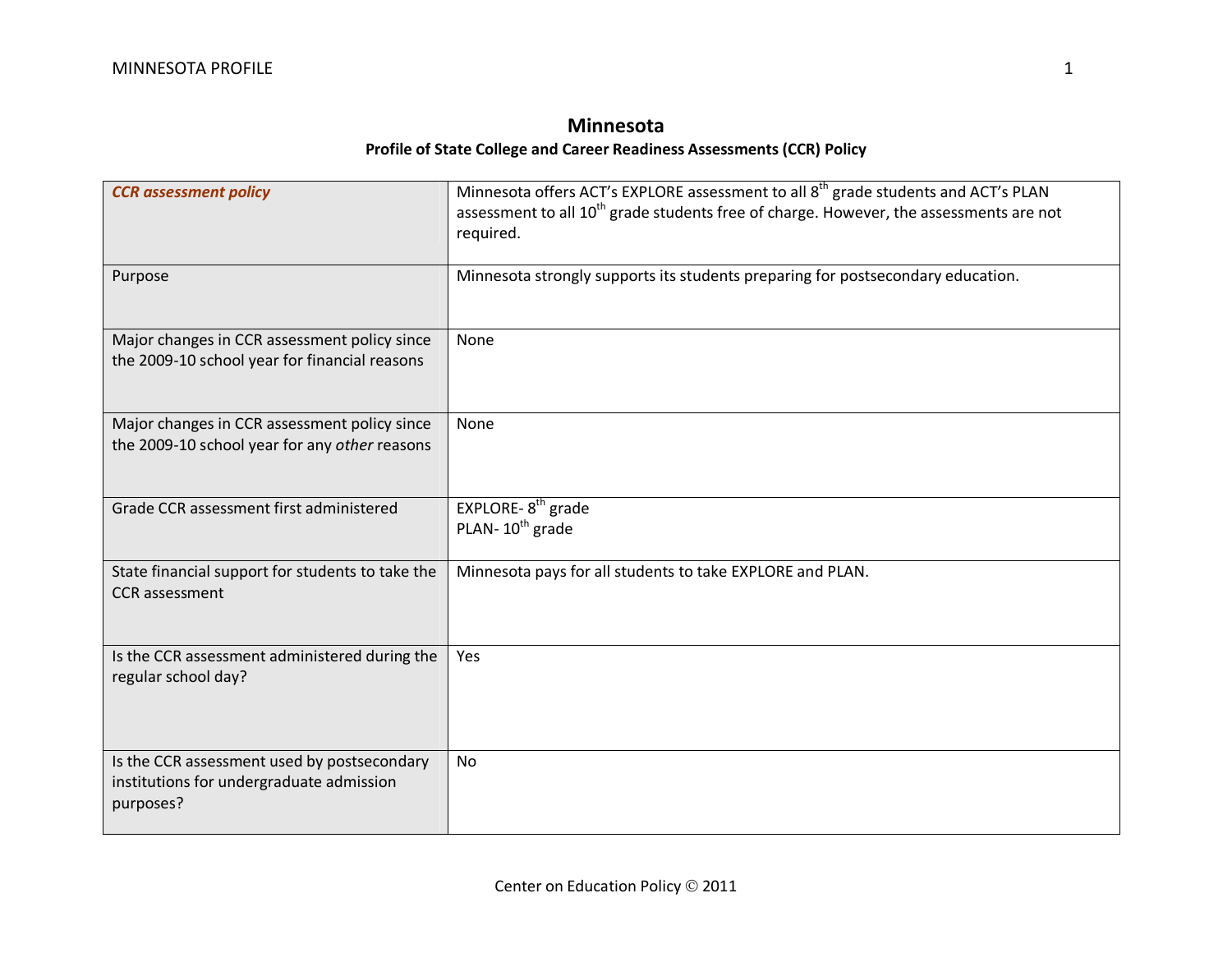## **Minnesota Profile of State College and Career Readiness Assessments (CCR) Policy**

| <b>CCR</b> assessment policy                                                                         | Minnesota offers ACT's EXPLORE assessment to all 8 <sup>th</sup> grade students and ACT's PLAN<br>assessment to all 10 <sup>th</sup> grade students free of charge. However, the assessments are not<br>required. |
|------------------------------------------------------------------------------------------------------|-------------------------------------------------------------------------------------------------------------------------------------------------------------------------------------------------------------------|
| Purpose                                                                                              | Minnesota strongly supports its students preparing for postsecondary education.                                                                                                                                   |
| Major changes in CCR assessment policy since<br>the 2009-10 school year for financial reasons        | None                                                                                                                                                                                                              |
| Major changes in CCR assessment policy since<br>the 2009-10 school year for any other reasons        | None                                                                                                                                                                                                              |
| Grade CCR assessment first administered                                                              | EXPLORE-8 <sup>th</sup> grade<br>PLAN-10 <sup>th</sup> grade                                                                                                                                                      |
| State financial support for students to take the<br><b>CCR</b> assessment                            | Minnesota pays for all students to take EXPLORE and PLAN.                                                                                                                                                         |
| Is the CCR assessment administered during the<br>regular school day?                                 | Yes                                                                                                                                                                                                               |
| Is the CCR assessment used by postsecondary<br>institutions for undergraduate admission<br>purposes? | <b>No</b>                                                                                                                                                                                                         |